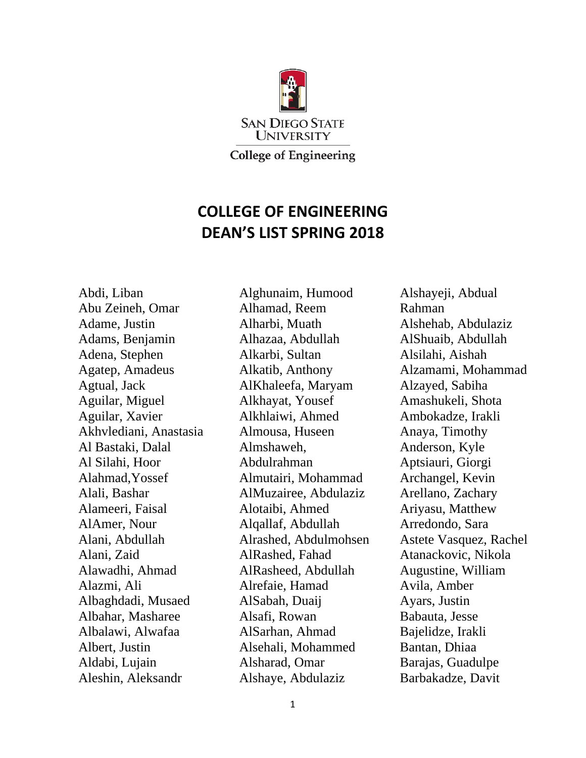

**COLLEGE OF ENGINEERING DEAN'S LIST SPRING 2018**

Abdi, Liban Abu Zeineh, Omar Adame, Justin Adams, Benjamin Adena, Stephen Agatep, Amadeus Agtual, Jack Aguilar, Miguel Aguilar, Xavier Akhvlediani, Anastasia Al Bastaki, Dalal Al Silahi, Hoor Alahmad,Yossef Alali, Bashar Alameeri, Faisal AlAmer, Nour Alani, Abdullah Alani, Zaid Alawadhi, Ahmad Alazmi, Ali Albaghdadi, Musaed Albahar, Masharee Albalawi, Alwafaa Albert, Justin Aldabi, Lujain Aleshin, Aleksandr

Alghunaim, Humood Alhamad, Reem Alharbi, Muath Alhazaa, Abdullah Alkarbi, Sultan Alkatib, Anthony AlKhaleefa, Maryam Alkhayat, Yousef Alkhlaiwi, Ahmed Almousa, Huseen Almshaweh, Abdulrahman Almutairi, Mohammad AlMuzairee, Abdulaziz Alotaibi, Ahmed Alqallaf, Abdullah Alrashed, Abdulmohsen AlRashed, Fahad AlRasheed, Abdullah Alrefaie, Hamad AlSabah, Duaij Alsafi, Rowan AlSarhan, Ahmad Alsehali, Mohammed Alsharad, Omar Alshaye, Abdulaziz

Alshayeji, Abdual Rahman Alshehab, Abdulaziz AlShuaib, Abdullah Alsilahi, Aishah Alzamami, Mohammad Alzayed, Sabiha Amashukeli, Shota Ambokadze, Irakli Anaya, Timothy Anderson, Kyle Aptsiauri, Giorgi Archangel, Kevin Arellano, Zachary Ariyasu, Matthew Arredondo, Sara Astete Vasquez, Rachel Atanackovic, Nikola Augustine, William Avila, Amber Ayars, Justin Babauta, Jesse Bajelidze, Irakli Bantan, Dhiaa Barajas, Guadulpe Barbakadze, Davit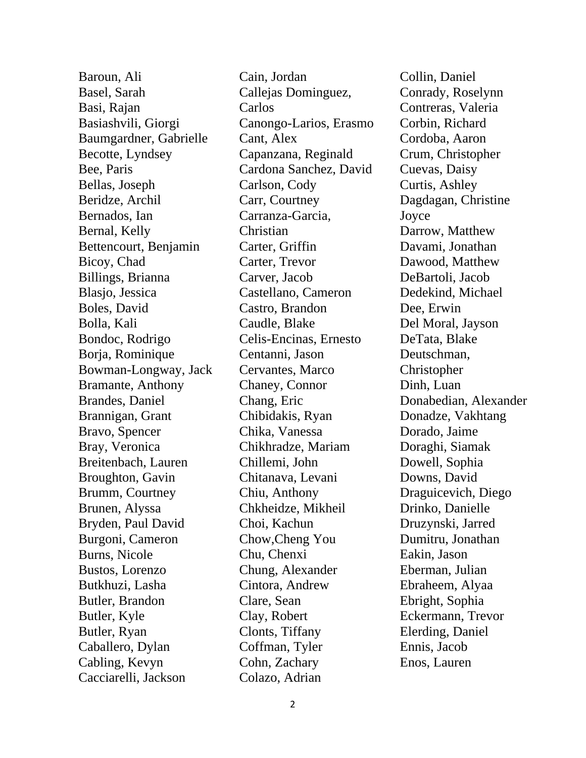Baroun, Ali Basel, Sarah Basi, Rajan Basiashvili, Giorgi Baumgardner, Gabrielle Becotte, Lyndsey Bee, Paris Bellas, Joseph Beridze, Archil Bernados, Ian Bernal, Kelly Bettencourt, Benjamin Bicoy, Chad Billings, Brianna Blasjo, Jessica Boles, David Bolla, Kali Bondoc, Rodrigo Borja, Rominique Bowman-Longway, Jack Bramante, Anthony Brandes, Daniel Brannigan, Grant Bravo, Spencer Bray, Veronica Breitenbach, Lauren Broughton, Gavin Brumm, Courtney Brunen, Alyssa Bryden, Paul David Burgoni, Cameron Burns, Nicole Bustos, Lorenzo Butkhuzi, Lasha Butler, Brandon Butler, Kyle Butler, Ryan Caballero, Dylan Cabling, Kevyn Cacciarelli, Jackson

Cain, Jordan Callejas Dominguez, Carlos Canongo-Larios, Erasmo Cant, Alex Capanzana, Reginald Cardona Sanchez, David Carlson, Cody Carr, Courtney Carranza-Garcia, Christian Carter, Griffin Carter, Trevor Carver, Jacob Castellano, Cameron Castro, Brandon Caudle, Blake Celis-Encinas, Ernesto Centanni, Jason Cervantes, Marco Chaney, Connor Chang, Eric Chibidakis, Ryan Chika, Vanessa Chikhradze, Mariam Chillemi, John Chitanava, Levani Chiu, Anthony Chkheidze, Mikheil Choi, Kachun Chow,Cheng You Chu, Chenxi Chung, Alexander Cintora, Andrew Clare, Sean Clay, Robert Clonts, Tiffany Coffman, Tyler Cohn, Zachary Colazo, Adrian

Collin, Daniel Conrady, Roselynn Contreras, Valeria Corbin, Richard Cordoba, Aaron Crum, Christopher Cuevas, Daisy Curtis, Ashley Dagdagan, Christine Joyce Darrow, Matthew Davami, Jonathan Dawood, Matthew DeBartoli, Jacob Dedekind, Michael Dee, Erwin Del Moral, Jayson DeTata, Blake Deutschman, Christopher Dinh, Luan Donabedian, Alexander Donadze, Vakhtang Dorado, Jaime Doraghi, Siamak Dowell, Sophia Downs, David Draguicevich, Diego Drinko, Danielle Druzynski, Jarred Dumitru, Jonathan Eakin, Jason Eberman, Julian Ebraheem, Alyaa Ebright, Sophia Eckermann, Trevor Elerding, Daniel Ennis, Jacob Enos, Lauren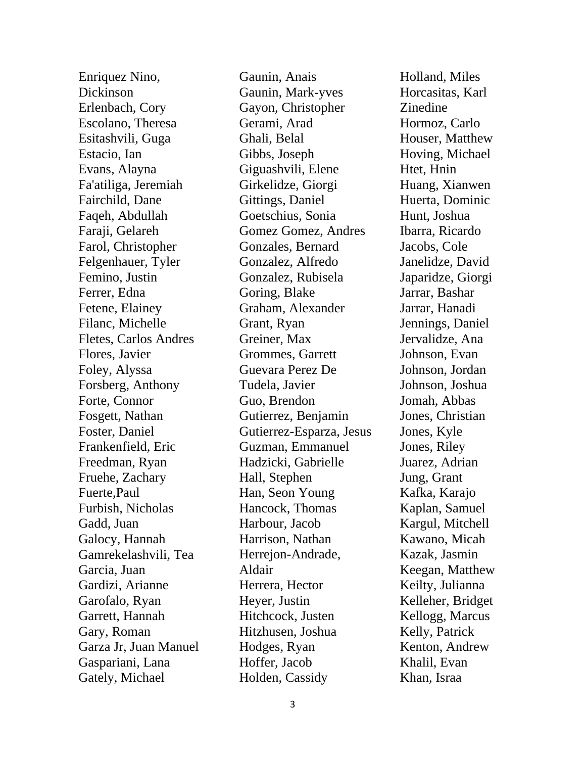Enriquez Nino, Dickinson Erlenbach, Cory Escolano, Theresa Esitashvili, Guga Estacio, Ian Evans, Alayna Fa'atiliga, Jeremiah Fairchild, Dane Faqeh, Abdullah Faraji, Gelareh Farol, Christopher Felgenhauer, Tyler Femino, Justin Ferrer, Edna Fetene, Elainey Filanc, Michelle Fletes, Carlos Andres Flores, Javier Foley, Alyssa Forsberg, Anthony Forte, Connor Fosgett, Nathan Foster, Daniel Frankenfield, Eric Freedman, Ryan Fruehe, Zachary Fuerte,Paul Furbish, Nicholas Gadd, Juan Galocy, Hannah Gamrekelashvili, Tea Garcia, Juan Gardizi, Arianne Garofalo, Ryan Garrett, Hannah Gary, Roman Garza Jr, Juan Manuel Gaspariani, Lana Gately, Michael

Gaunin, Anais Gaunin, Mark-yves Gayon, Christopher Gerami, Arad Ghali, Belal Gibbs, Joseph Giguashvili, Elene Girkelidze, Giorgi Gittings, Daniel Goetschius, Sonia Gomez Gomez, Andres Gonzales, Bernard Gonzalez, Alfredo Gonzalez, Rubisela Goring, Blake Graham, Alexander Grant, Ryan Greiner, Max Grommes, Garrett Guevara Perez De Tudela, Javier Guo, Brendon Gutierrez, Benjamin Gutierrez-Esparza, Jesus Guzman, Emmanuel Hadzicki, Gabrielle Hall, Stephen Han, Seon Young Hancock, Thomas Harbour, Jacob Harrison, Nathan Herrejon-Andrade, Aldair Herrera, Hector Heyer, Justin Hitchcock, Justen Hitzhusen, Joshua Hodges, Ryan Hoffer, Jacob Holden, Cassidy

Holland, Miles Horcasitas, Karl Zinedine Hormoz, Carlo Houser, Matthew Hoving, Michael Htet, Hnin Huang, Xianwen Huerta, Dominic Hunt, Joshua Ibarra, Ricardo Jacobs, Cole Janelidze, David Japaridze, Giorgi Jarrar, Bashar Jarrar, Hanadi Jennings, Daniel Jervalidze, Ana Johnson, Evan Johnson, Jordan Johnson, Joshua Jomah, Abbas Jones, Christian Jones, Kyle Jones, Riley Juarez, Adrian Jung, Grant Kafka, Karajo Kaplan, Samuel Kargul, Mitchell Kawano, Micah Kazak, Jasmin Keegan, Matthew Keilty, Julianna Kelleher, Bridget Kellogg, Marcus Kelly, Patrick Kenton, Andrew Khalil, Evan Khan, Israa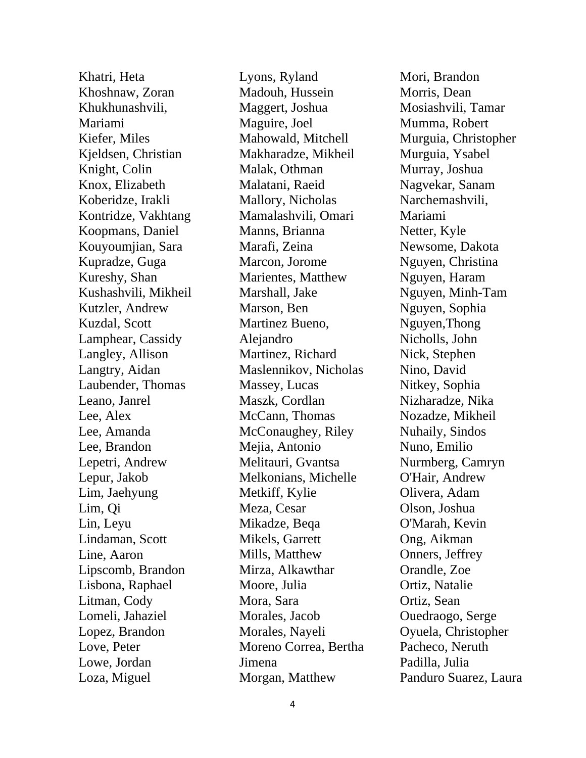Khatri, Heta Khoshnaw, Zoran Khukhunashvili, Mariami Kiefer, Miles Kjeldsen, Christian Knight, Colin Knox, Elizabeth Koberidze, Irakli Kontridze, Vakhtang Koopmans, Daniel Kouyoumjian, Sara Kupradze, Guga Kureshy, Shan Kushashvili, Mikheil Kutzler, Andrew Kuzdal, Scott Lamphear, Cassidy Langley, Allison Langtry, Aidan Laubender, Thomas Leano, Janrel Lee, Alex Lee, Amanda Lee, Brandon Lepetri, Andrew Lepur, Jakob Lim, Jaehyung Lim, Qi Lin, Leyu Lindaman, Scott Line, Aaron Lipscomb, Brandon Lisbona, Raphael Litman, Cody Lomeli, Jahaziel Lopez, Brandon Love, Peter Lowe, Jordan Loza, Miguel

Lyons, Ryland Madouh, Hussein Maggert, Joshua Maguire, Joel Mahowald, Mitchell Makharadze, Mikheil Malak, Othman Malatani, Raeid Mallory, Nicholas Mamalashvili, Omari Manns, Brianna Marafi, Zeina Marcon, Jorome Marientes, Matthew Marshall, Jake Marson, Ben Martinez Bueno, Alejandro Martinez, Richard Maslennikov, Nicholas Massey, Lucas Maszk, Cordlan McCann, Thomas McConaughey, Riley Mejia, Antonio Melitauri, Gvantsa Melkonians, Michelle Metkiff, Kylie Meza, Cesar Mikadze, Beqa Mikels, Garrett Mills, Matthew Mirza, Alkawthar Moore, Julia Mora, Sara Morales, Jacob Morales, Nayeli Moreno Correa, Bertha Jimena Morgan, Matthew

Mori, Brandon Morris, Dean Mosiashvili, Tamar Mumma, Robert Murguia, Christopher Murguia, Ysabel Murray, Joshua Nagvekar, Sanam Narchemashvili, Mariami Netter, Kyle Newsome, Dakota Nguyen, Christina Nguyen, Haram Nguyen, Minh-Tam Nguyen, Sophia Nguyen,Thong Nicholls, John Nick, Stephen Nino, David Nitkey, Sophia Nizharadze, Nika Nozadze, Mikheil Nuhaily, Sindos Nuno, Emilio Nurmberg, Camryn O'Hair, Andrew Olivera, Adam Olson, Joshua O'Marah, Kevin Ong, Aikman Onners, Jeffrey Orandle, Zoe Ortiz, Natalie Ortiz, Sean Ouedraogo, Serge Oyuela, Christopher Pacheco, Neruth Padilla, Julia Panduro Suarez, Laura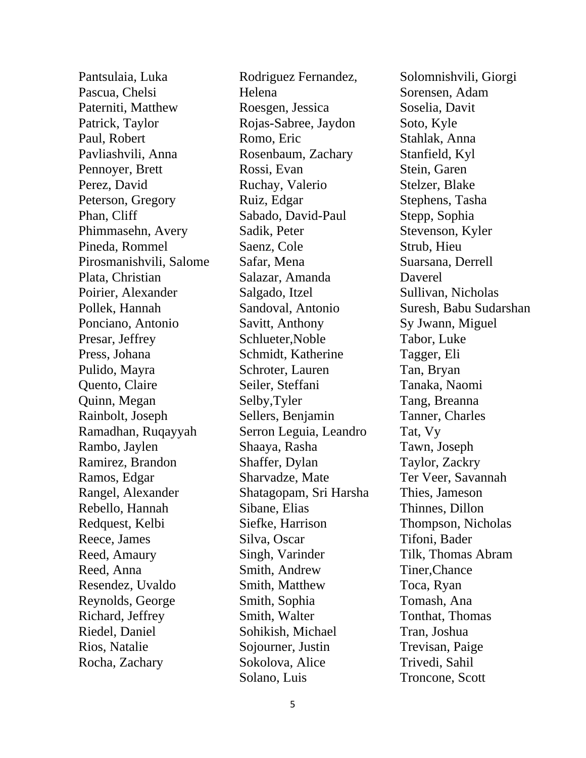Pantsulaia, Luka Pascua, Chelsi Paterniti, Matthew Patrick, Taylor Paul, Robert Pavliashvili, Anna Pennoyer, Brett Perez, David Peterson, Gregory Phan, Cliff Phimmasehn, Avery Pineda, Rommel Pirosmanishvili, Salome Plata, Christian Poirier, Alexander Pollek, Hannah Ponciano, Antonio Presar, Jeffrey Press, Johana Pulido, Mayra Quento, Claire Quinn, Megan Rainbolt, Joseph Ramadhan, Ruqayyah Rambo, Jaylen Ramirez, Brandon Ramos, Edgar Rangel, Alexander Rebello, Hannah Redquest, Kelbi Reece, James Reed, Amaury Reed, Anna Resendez, Uvaldo Reynolds, George Richard, Jeffrey Riedel, Daniel Rios, Natalie Rocha, Zachary

Rodriguez Fernandez, Helena Roesgen, Jessica Rojas-Sabree, Jaydon Romo, Eric Rosenbaum, Zachary Rossi, Evan Ruchay, Valerio Ruiz, Edgar Sabado, David-Paul Sadik, Peter Saenz, Cole Safar, Mena Salazar, Amanda Salgado, Itzel Sandoval, Antonio Savitt, Anthony Schlueter,Noble Schmidt, Katherine Schroter, Lauren Seiler, Steffani Selby,Tyler Sellers, Benjamin Serron Leguia, Leandro Shaaya, Rasha Shaffer, Dylan Sharvadze, Mate Shatagopam, Sri Harsha Sibane, Elias Siefke, Harrison Silva, Oscar Singh, Varinder Smith, Andrew Smith, Matthew Smith, Sophia Smith, Walter Sohikish, Michael Sojourner, Justin Sokolova, Alice Solano, Luis

Solomnishvili, Giorgi Sorensen, Adam Soselia, Davit Soto, Kyle Stahlak, Anna Stanfield, Kyl Stein, Garen Stelzer, Blake Stephens, Tasha Stepp, Sophia Stevenson, Kyler Strub, Hieu Suarsana, Derrell Daverel Sullivan, Nicholas Suresh, Babu Sudarshan Sy Jwann, Miguel Tabor, Luke Tagger, Eli Tan, Bryan Tanaka, Naomi Tang, Breanna Tanner, Charles Tat, Vy Tawn, Joseph Taylor, Zackry Ter Veer, Savannah Thies, Jameson Thinnes, Dillon Thompson, Nicholas Tifoni, Bader Tilk, Thomas Abram Tiner,Chance Toca, Ryan Tomash, Ana Tonthat, Thomas Tran, Joshua Trevisan, Paige Trivedi, Sahil Troncone, Scott